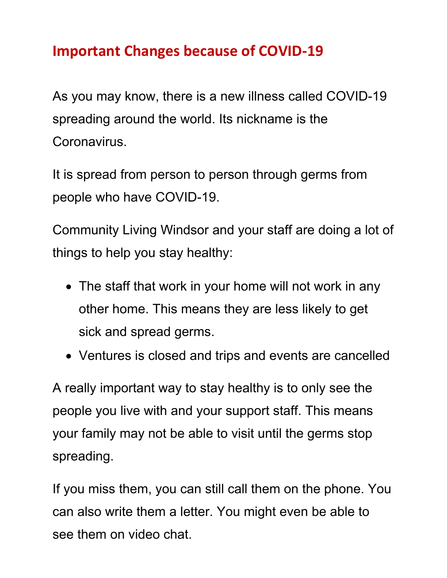## **Important Changes because of COVID-19**

As you may know, there is a new illness called COVID-19 spreading around the world. Its nickname is the Coronavirus.

It is spread from person to person through germs from people who have COVID-19.

Community Living Windsor and your staff are doing a lot of things to help you stay healthy:

- The staff that work in your home will not work in any other home. This means they are less likely to get sick and spread germs.
- Ventures is closed and trips and events are cancelled

A really important way to stay healthy is to only see the people you live with and your support staff. This means your family may not be able to visit until the germs stop spreading.

If you miss them, you can still call them on the phone. You can also write them a letter. You might even be able to see them on video chat.